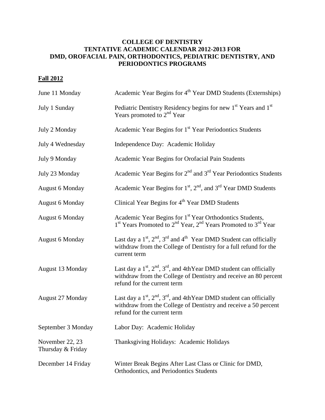## **COLLEGE OF DENTISTRY TENTATIVE ACADEMIC CALENDAR 2012-2013 FOR DMD, OROFACIAL PAIN, ORTHODONTICS, PEDIATRIC DENTISTRY, AND PERIODONTICS PROGRAMS**

## **Fall 2012**

| June 11 Monday                       | Academic Year Begins for 4 <sup>th</sup> Year DMD Students (Externships)                                                                                                     |
|--------------------------------------|------------------------------------------------------------------------------------------------------------------------------------------------------------------------------|
| July 1 Sunday                        | Pediatric Dentistry Residency begins for new 1 <sup>st</sup> Years and 1 <sup>st</sup><br>Years promoted to $2nd$ Year                                                       |
| July 2 Monday                        | Academic Year Begins for 1 <sup>st</sup> Year Periodontics Students                                                                                                          |
| July 4 Wednesday                     | Independence Day: Academic Holiday                                                                                                                                           |
| July 9 Monday                        | Academic Year Begins for Orofacial Pain Students                                                                                                                             |
| July 23 Monday                       | Academic Year Begins for $2nd$ and $3rd$ Year Periodontics Students                                                                                                          |
| <b>August 6 Monday</b>               | Academic Year Begins for $1st$ , $2nd$ , and $3rd$ Year DMD Students                                                                                                         |
| <b>August 6 Monday</b>               | Clinical Year Begins for 4 <sup>th</sup> Year DMD Students                                                                                                                   |
| <b>August 6 Monday</b>               | Academic Year Begins for 1st Year Orthodontics Students,<br>1 <sup>st</sup> Years Promoted to 2 <sup>nd</sup> Year, 2 <sup>nd</sup> Years Promoted to 3 <sup>rd</sup> Year   |
| <b>August 6 Monday</b>               | Last day a $1st$ , $2nd$ , $3rd$ and $4th$ Year DMD Student can officially<br>withdraw from the College of Dentistry for a full refund for the<br>current term               |
| August 13 Monday                     | Last day a $1st$ , $2nd$ , $3rd$ , and 4thYear DMD student can officially<br>withdraw from the College of Dentistry and receive an 80 percent<br>refund for the current term |
| August 27 Monday                     | Last day a $1st$ , $2nd$ , $3rd$ , and 4th Year DMD student can officially<br>withdraw from the College of Dentistry and receive a 50 percent<br>refund for the current term |
| September 3 Monday                   | Labor Day: Academic Holiday                                                                                                                                                  |
| November 22, 23<br>Thursday & Friday | Thanksgiving Holidays: Academic Holidays                                                                                                                                     |
| December 14 Friday                   | Winter Break Begins After Last Class or Clinic for DMD,<br>Orthodontics, and Periodontics Students                                                                           |